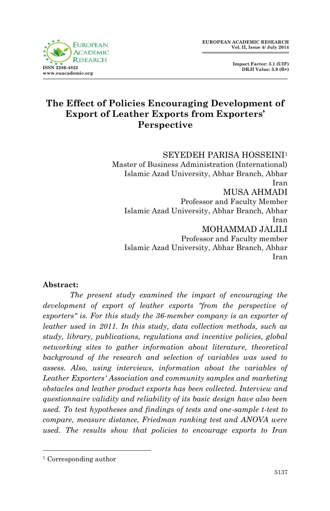

# **The Effect of Policies Encouraging Development of Export of Leather Exports from Exporters' Perspective**

SEYEDEH PARISA HOSSEINI<sup>1</sup> Master of Business Administration (International) Islamic Azad University, Abhar Branch, Abhar Iran MUSA AHMADI Professor and Faculty Member Islamic Azad University, Abhar Branch, Abhar Iran MOHAMMAD JALILI Professor and Faculty member Islamic Azad University, Abhar Branch, Abhar Iran

#### **Abstract:**

*The present study examined the impact of encouraging the development of export of leather exports "from the perspective of exporters" is. For this study the 36-member company is an exporter of leather used in 2011. In this study, data collection methods, such as study, library, publications, regulations and incentive policies, global networking sites to gather information about literature, theoretical background of the research and selection of variables was used to assess. Also, using interviews, information about the variables of Leather Exporters' Association and community samples and marketing obstacles and leather product exports has been collected. Interview and questionnaire validity and reliability of its basic design have also been used. To test hypotheses and findings of tests and one-sample t-test to compare, measure distance, Friedman ranking test and ANOVA were used. The results show that policies to encourage exports to Iran* 

1

<sup>1</sup> Corresponding author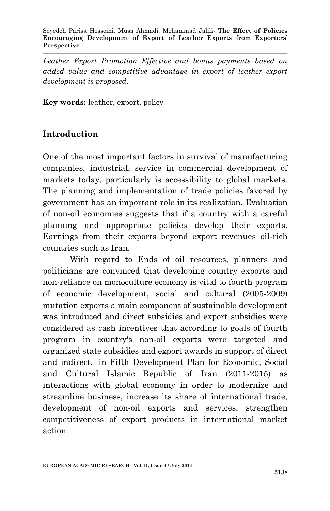*Leather Export Promotion Effective and bonus payments based on added value and competitive advantage in export of leather export development is proposed.*

**Key words:** leather, export, policy

### **Introduction**

One of the most important factors in survival of manufacturing companies, industrial, service in commercial development of markets today, particularly is accessibility to global markets. The planning and implementation of trade policies favored by government has an important role in its realization. Evaluation of non-oil economies suggests that if a country with a careful planning and appropriate policies develop their exports. Earnings from their exports beyond export revenues oil-rich countries such as Iran.

With regard to Ends of oil resources, planners and politicians are convinced that developing country exports and non-reliance on monoculture economy is vital to fourth program of economic development, social and cultural (2005-2009) mutation exports a main component of sustainable development was introduced and direct subsidies and export subsidies were considered as cash incentives that according to goals of fourth program in country's non-oil exports were targeted and organized state subsidies and export awards in support of direct and indirect, in Fifth Development Plan for Economic, Social and Cultural Islamic Republic of Iran (2011-2015) as interactions with global economy in order to modernize and streamline business, increase its share of international trade, development of non-oil exports and services, strengthen competitiveness of export products in international market action.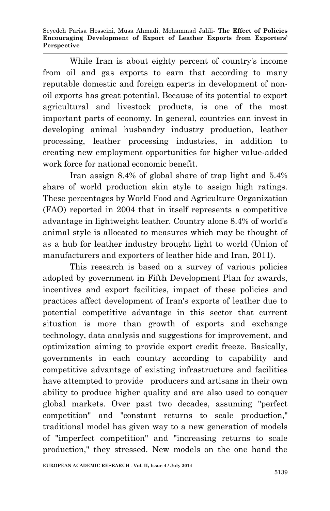Seyedeh Parisa Hosseini, Musa Ahmadi, Mohammad Jalili*-* **The Effect of Policies Encouraging Development of Export of Leather Exports from Exporters' Perspective**

While Iran is about eighty percent of country's income from oil and gas exports to earn that according to many reputable domestic and foreign experts in development of nonoil exports has great potential. Because of its potential to export agricultural and livestock products, is one of the most important parts of economy. In general, countries can invest in developing animal husbandry industry production, leather processing, leather processing industries, in addition to creating new employment opportunities for higher value-added work force for national economic benefit.

Iran assign 8.4% of global share of trap light and 5.4% share of world production skin style to assign high ratings. These percentages by World Food and Agriculture Organization (FAO) reported in 2004 that in itself represents a competitive advantage in lightweight leather. Country alone 8.4% of world's animal style is allocated to measures which may be thought of as a hub for leather industry brought light to world (Union of manufacturers and exporters of leather hide and Iran, 2011).

This research is based on a survey of various policies adopted by government in Fifth Development Plan for awards, incentives and export facilities, impact of these policies and practices affect development of Iran's exports of leather due to potential competitive advantage in this sector that current situation is more than growth of exports and exchange technology, data analysis and suggestions for improvement, and optimization aiming to provide export credit freeze. Basically, governments in each country according to capability and competitive advantage of existing infrastructure and facilities have attempted to provide producers and artisans in their own ability to produce higher quality and are also used to conquer global markets. Over past two decades, assuming "perfect competition" and "constant returns to scale production," traditional model has given way to a new generation of models of "imperfect competition" and "increasing returns to scale production," they stressed. New models on the one hand the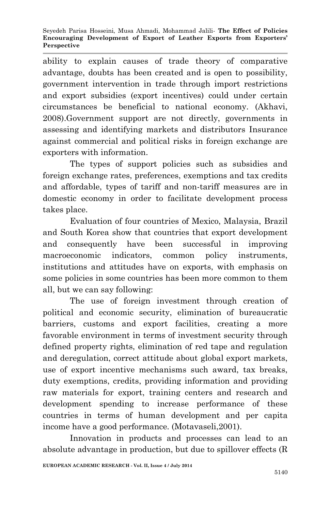ability to explain causes of trade theory of comparative advantage, doubts has been created and is open to possibility, government intervention in trade through import restrictions and export subsidies (export incentives) could under certain circumstances be beneficial to national economy. (Akhavi, 2008).Government support are not directly, governments in assessing and identifying markets and distributors Insurance against commercial and political risks in foreign exchange are exporters with information.

The types of support policies such as subsidies and foreign exchange rates, preferences, exemptions and tax credits and affordable, types of tariff and non-tariff measures are in domestic economy in order to facilitate development process takes place.

Evaluation of four countries of Mexico, Malaysia, Brazil and South Korea show that countries that export development and consequently have been successful in improving macroeconomic indicators, common policy instruments, institutions and attitudes have on exports, with emphasis on some policies in some countries has been more common to them all, but we can say following:

The use of foreign investment through creation of political and economic security, elimination of bureaucratic barriers, customs and export facilities, creating a more favorable environment in terms of investment security through defined property rights, elimination of red tape and regulation and deregulation, correct attitude about global export markets, use of export incentive mechanisms such award, tax breaks, duty exemptions, credits, providing information and providing raw materials for export, training centers and research and development spending to increase performance of these countries in terms of human development and per capita income have a good performance. (Motavaseli,2001).

Innovation in products and processes can lead to an absolute advantage in production, but due to spillover effects (R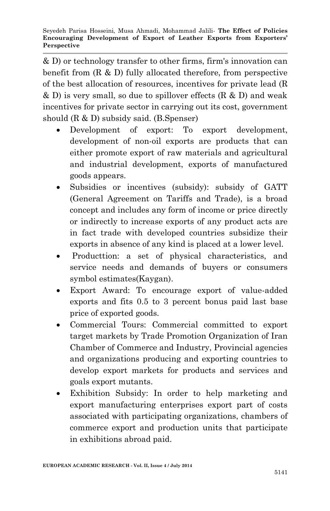& D) or technology transfer to other firms, firm's innovation can benefit from (R & D) fully allocated therefore, from perspective of the best allocation of resources, incentives for private lead (R & D) is very small, so due to spillover effects (R & D) and weak incentives for private sector in carrying out its cost, government should (R & D) subsidy said. (B.Spenser)

- Development of export: To export development, development of non-oil exports are products that can either promote export of raw materials and agricultural and industrial development, exports of manufactured goods appears.
- Subsidies or incentives (subsidy): subsidy of GATT (General Agreement on Tariffs and Trade), is a broad concept and includes any form of income or price directly or indirectly to increase exports of any product acts are in fact trade with developed countries subsidize their exports in absence of any kind is placed at a lower level.
- Producttion: a set of physical characteristics, and service needs and demands of buyers or consumers symbol estimates(Kaygan).
- Export Award: To encourage export of value-added exports and fits 0.5 to 3 percent bonus paid last base price of exported goods.
- Commercial Tours: Commercial committed to export target markets by Trade Promotion Organization of Iran Chamber of Commerce and Industry, Provincial agencies and organizations producing and exporting countries to develop export markets for products and services and goals export mutants.
- Exhibition Subsidy: In order to help marketing and export manufacturing enterprises export part of costs associated with participating organizations, chambers of commerce export and production units that participate in exhibitions abroad paid.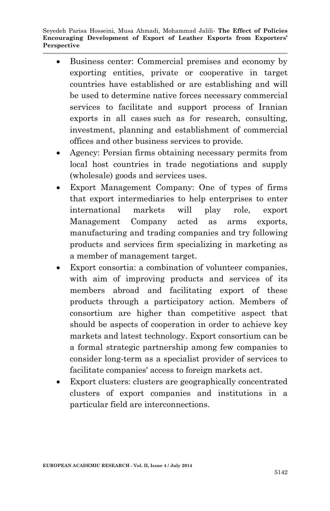Seyedeh Parisa Hosseini, Musa Ahmadi, Mohammad Jalili*-* **The Effect of Policies Encouraging Development of Export of Leather Exports from Exporters' Perspective**

- Business center: Commercial premises and economy by exporting entities, private or cooperative in target countries have established or are establishing and will be used to determine native forces necessary commercial services to facilitate and support process of Iranian exports in all cases such as for research, consulting, investment, planning and establishment of commercial offices and other business services to provide.
- Agency: Persian firms obtaining necessary permits from local host countries in trade negotiations and supply (wholesale) goods and services uses.
- Export Management Company: One of types of firms that export intermediaries to help enterprises to enter international markets will play role, export Management Company acted as arms exports, manufacturing and trading companies and try following products and services firm specializing in marketing as a member of management target.
- Export consortia: a combination of volunteer companies, with aim of improving products and services of its members abroad and facilitating export of these products through a participatory action. Members of consortium are higher than competitive aspect that should be aspects of cooperation in order to achieve key markets and latest technology. Export consortium can be a formal strategic partnership among few companies to consider long-term as a specialist provider of services to facilitate companies' access to foreign markets act.
- Export clusters: clusters are geographically concentrated clusters of export companies and institutions in a particular field are interconnections.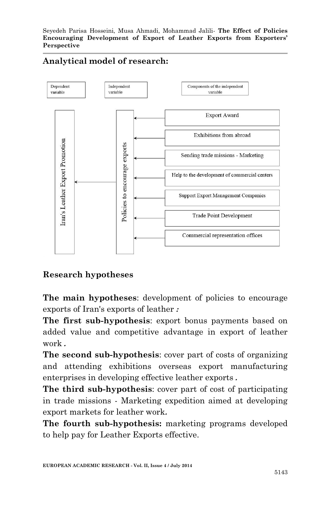

#### **Analytical model of research:**

### **Research hypotheses**

**The main hypotheses:** development of policies to encourage exports of Iran's exports of leather **:**

**The first sub-hypothesis**: export bonus payments based on added value and competitive advantage in export of leather work **.**

**The second sub-hypothesis**: cover part of costs of organizing and attending exhibitions overseas export manufacturing enterprises in developing effective leather exports **.**

**The third sub-hypothesis**: cover part of cost of participating in trade missions - Marketing expedition aimed at developing export markets for leather work**.**

**The fourth sub-hypothesis:** marketing programs developed to help pay for Leather Exports effective.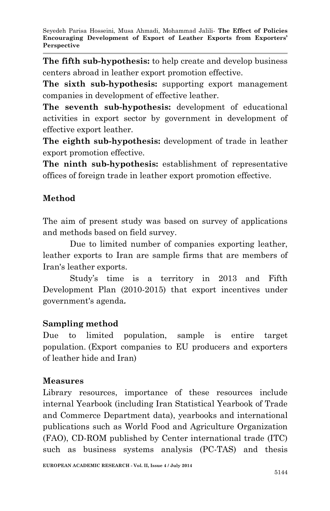**The fifth sub-hypothesis:** to help create and develop business centers abroad in leather export promotion effective.

**The sixth sub-hypothesis:** supporting export management companies in development of effective leather.

**The seventh sub-hypothesis:** development of educational activities in export sector by government in development of effective export leather.

**The eighth sub-hypothesis:** development of trade in leather export promotion effective.

**The ninth sub-hypothesis:** establishment of representative offices of foreign trade in leather export promotion effective.

# **Method**

The aim of present study was based on survey of applications and methods based on field survey.

Due to limited number of companies exporting leather, leather exports to Iran are sample firms that are members of Iran's leather exports.

Study's time is a territory in 2013 and Fifth Development Plan (2010-2015) that export incentives under government's agenda**.**

### **Sampling method**

Due to limited population, sample is entire target population. (Export companies to EU producers and exporters of leather hide and Iran)

### **Measures**

Library resources, importance of these resources include internal Yearbook (including Iran Statistical Yearbook of Trade and Commerce Department data), yearbooks and international publications such as World Food and Agriculture Organization (FAO), CD-ROM published by Center international trade (ITC) such as business systems analysis (PC-TAS) and thesis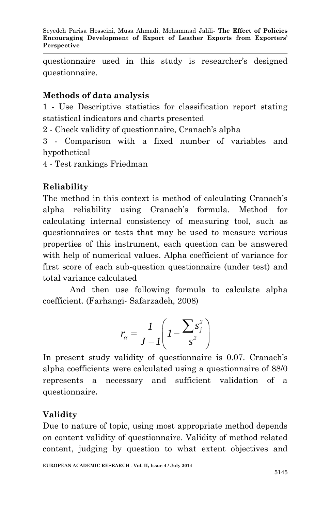questionnaire used in this study is researcher's designed questionnaire.

#### **Methods of data analysis**

1 - Use Descriptive statistics for classification report stating statistical indicators and charts presented

2 - Check validity of questionnaire, Cranach's alpha

3 - Comparison with a fixed number of variables and hypothetical

4 - Test rankings Friedman

# **Reliability**

The method in this context is method of calculating Cranach's alpha reliability using Cranach's formula. Method for calculating internal consistency of measuring tool, such as questionnaires or tests that may be used to measure various properties of this instrument, each question can be answered with help of numerical values. Alpha coefficient of variance for first score of each sub-question questionnaire (under test) and total variance calculated

And then use following formula to calculate alpha coefficient. (Farhangi- Safarzadeh, 2008)

$$
r_{\alpha} = \frac{1}{J - I} \left( I - \frac{\sum s_j^2}{s^2} \right)
$$

In present study validity of questionnaire is 0.07. Cranach's alpha coefficients were calculated using a questionnaire of 88/0 represents a necessary and sufficient validation of a questionnaire**.**

# **Validity**

Due to nature of topic, using most appropriate method depends on content validity of questionnaire. Validity of method related content, judging by question to what extent objectives and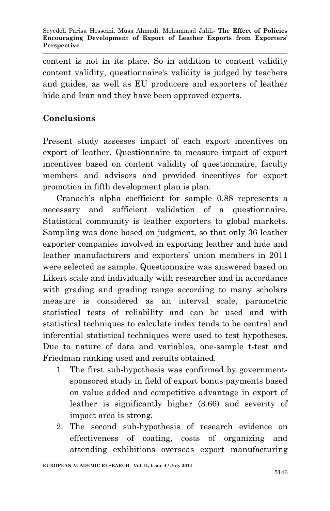content is not in its place. So in addition to content validity content validity, questionnaire's validity is judged by teachers and guides, as well as EU producers and exporters of leather hide and Iran and they have been approved experts.

# **Conclusions**

Present study assesses impact of each export incentives on export of leather. Questionnaire to measure impact of export incentives based on content validity of questionnaire, faculty members and advisors and provided incentives for export promotion in fifth development plan is plan.

Cranach's alpha coefficient for sample 0.88 represents a necessary and sufficient validation of a questionnaire. Statistical community is leather exporters to global markets. Sampling was done based on judgment, so that only 36 leather exporter companies involved in exporting leather and hide and leather manufacturers and exporters' union members in 2011 were selected as sample. Questionnaire was answered based on Likert scale and individually with researcher and in accordance with grading and grading range according to many scholars measure is considered as an interval scale, parametric statistical tests of reliability and can be used and with statistical techniques to calculate index tends to be central and inferential statistical techniques were used to test hypotheses**.**  Due to nature of data and variables, one-sample t-test and Friedman ranking used and results obtained.

- 1. The first sub-hypothesis was confirmed by governmentsponsored study in field of export bonus payments based on value added and competitive advantage in export of leather is significantly higher (3.66) and severity of impact area is strong.
- 2. The second sub-hypothesis of research evidence on effectiveness of coating, costs of organizing and attending exhibitions overseas export manufacturing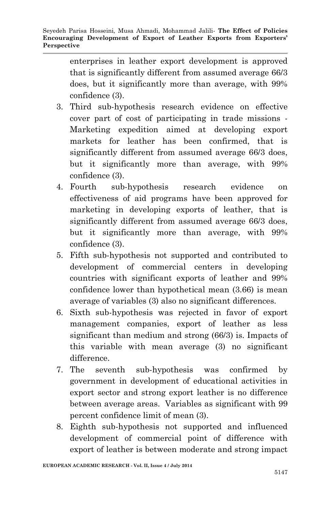enterprises in leather export development is approved that is significantly different from assumed average 66/3 does, but it significantly more than average, with 99% confidence (3).

- 3. Third sub-hypothesis research evidence on effective cover part of cost of participating in trade missions - Marketing expedition aimed at developing export markets for leather has been confirmed, that is significantly different from assumed average 66/3 does, but it significantly more than average, with 99% confidence (3).
- 4. Fourth sub-hypothesis research evidence on effectiveness of aid programs have been approved for marketing in developing exports of leather, that is significantly different from assumed average 66/3 does, but it significantly more than average, with 99% confidence (3).
- 5. Fifth sub-hypothesis not supported and contributed to development of commercial centers in developing countries with significant exports of leather and 99% confidence lower than hypothetical mean (3.66) is mean average of variables (3) also no significant differences.
- 6. Sixth sub-hypothesis was rejected in favor of export management companies, export of leather as less significant than medium and strong (66/3) is. Impacts of this variable with mean average (3) no significant difference.
- 7. The seventh sub-hypothesis was confirmed by government in development of educational activities in export sector and strong export leather is no difference between average areas. Variables as significant with 99 percent confidence limit of mean (3).
- 8. Eighth sub-hypothesis not supported and influenced development of commercial point of difference with export of leather is between moderate and strong impact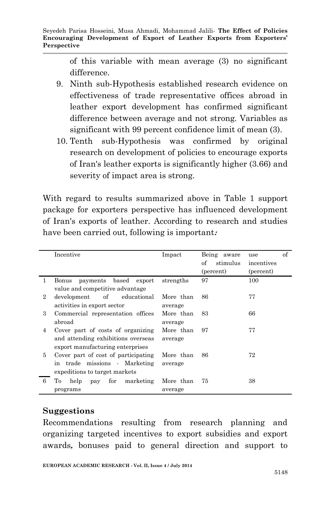of this variable with mean average (3) no significant difference.

- 9. Ninth sub-Hypothesis established research evidence on effectiveness of trade representative offices abroad in leather export development has confirmed significant difference between average and not strong. Variables as significant with 99 percent confidence limit of mean (3).
- 10. Tenth sub-Hypothesis was confirmed by original research on development of policies to encourage exports of Iran's leather exports is significantly higher (3.66) and severity of impact area is strong.

With regard to results summarized above in Table 1 support package for exporters perspective has influenced development of Iran's exports of leather. According to research and studies have been carried out, following is important**:**

|                | Incentive                           | Impact    | Being aware    | of<br>use  |
|----------------|-------------------------------------|-----------|----------------|------------|
|                |                                     |           | stimulus<br>of | incentives |
|                |                                     |           | (percent)      | (percent)  |
| 1              | payments based export<br>Bonus      | strengths | 97             | 100        |
|                | value and competitive advantage     |           |                |            |
| $\overline{2}$ | of<br>educational<br>development    | More than | 86             | 77         |
|                | activities in export sector         | average   |                |            |
| 3              | Commercial representation offices   | More than | 83             | 66         |
|                | abroad                              | average   |                |            |
| 4              | Cover part of costs of organizing   | More than | 97             | 77         |
|                | and attending exhibitions overseas  | average   |                |            |
|                | export manufacturing enterprises    |           |                |            |
| 5              | Cover part of cost of participating | More than | 86             | 72         |
|                | in trade missions Marketing         | average   |                |            |
|                | expeditions to target markets       |           |                |            |
| 6              | Tо<br>for marketing<br>help pay     | More than | 75             | 38         |
|                | programs                            | average   |                |            |

### **Suggestions**

Recommendations resulting from research planning and organizing targeted incentives to export subsidies and export awards**,** bonuses paid to general direction and support to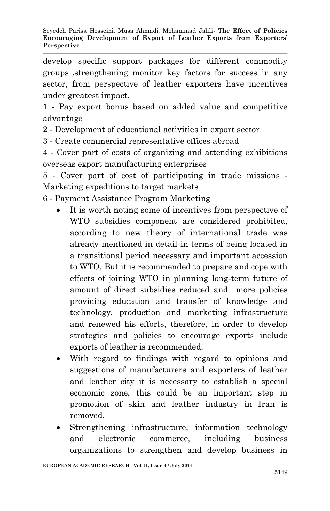develop specific support packages for different commodity groups **,**strengthening monitor key factors for success in any sector, from perspective of leather exporters have incentives under greatest impact**.**

1 - Pay export bonus based on added value and competitive advantage

2 - Development of educational activities in export sector

3 - Create commercial representative offices abroad

4 - Cover part of costs of organizing and attending exhibitions overseas export manufacturing enterprises

5 - Cover part of cost of participating in trade missions - Marketing expeditions to target markets

- 6 Payment Assistance Program Marketing
	- It is worth noting some of incentives from perspective of WTO subsidies component are considered prohibited, according to new theory of international trade was already mentioned in detail in terms of being located in a transitional period necessary and important accession to WTO, But it is recommended to prepare and cope with effects of joining WTO in planning long-term future of amount of direct subsidies reduced and more policies providing education and transfer of knowledge and technology, production and marketing infrastructure and renewed his efforts, therefore, in order to develop strategies and policies to encourage exports include exports of leather is recommended.
	- With regard to findings with regard to opinions and suggestions of manufacturers and exporters of leather and leather city it is necessary to establish a special economic zone, this could be an important step in promotion of skin and leather industry in Iran is removed.
	- Strengthening infrastructure, information technology and electronic commerce, including business organizations to strengthen and develop business in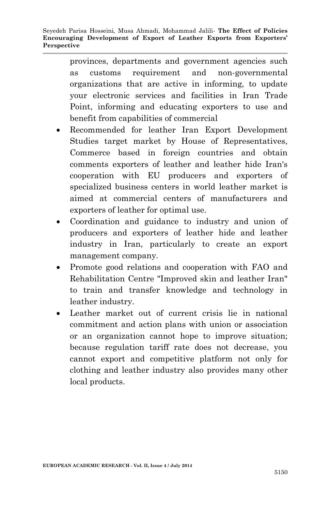provinces, departments and government agencies such as customs requirement and non-governmental organizations that are active in informing, to update your electronic services and facilities in Iran Trade Point, informing and educating exporters to use and benefit from capabilities of commercial

- Recommended for leather Iran Export Development Studies target market by House of Representatives, Commerce based in foreign countries and obtain comments exporters of leather and leather hide Iran's cooperation with EU producers and exporters of specialized business centers in world leather market is aimed at commercial centers of manufacturers and exporters of leather for optimal use.
- Coordination and guidance to industry and union of producers and exporters of leather hide and leather industry in Iran, particularly to create an export management company.
- Promote good relations and cooperation with FAO and Rehabilitation Centre "Improved skin and leather Iran" to train and transfer knowledge and technology in leather industry.
- Leather market out of current crisis lie in national commitment and action plans with union or association or an organization cannot hope to improve situation; because regulation tariff rate does not decrease, you cannot export and competitive platform not only for clothing and leather industry also provides many other local products.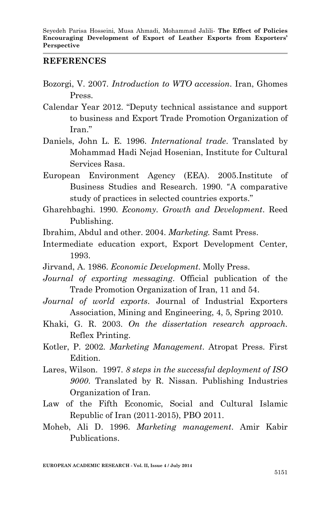#### **REFERENCES**

- Bozorgi, V. 2007. *Introduction to WTO accession*. Iran, Ghomes Press.
- Calendar Year 2012. "Deputy technical assistance and support to business and Export Trade Promotion Organization of Iran."
- Daniels, John L. E. 1996. *International trade*. Translated by Mohammad Hadi Nejad Hosenian, Institute for Cultural Services Rasa.
- European Environment Agency (EEA). 2005.Institute of Business Studies and Research. 1990. "A comparative study of practices in selected countries exports."
- Gharehbaghi. 1990. *Economy. Growth and Development*. Reed Publishing.
- Ibrahim, Abdul and other. 2004. *Marketing.* Samt Press.
- Intermediate education export, Export Development Center, 1993.
- Jirvand, A. 1986. *Economic Development*. Molly Press.
- *Journal of exporting messaging*. Official publication of the Trade Promotion Organization of Iran, 11 and 54.
- *Journal of world exports*. Journal of Industrial Exporters Association, Mining and Engineering, 4, 5, Spring 2010.
- Khaki, G. R. 2003. *On the dissertation research approach.* Reflex Printing.
- Kotler, P. 2002. *Marketing Management*. Atropat Press. First Edition.
- Lares, Wilson. 1997. *8 steps in the successful deployment of ISO 9000*. Translated by R. Nissan. Publishing Industries Organization of Iran.
- Law of the Fifth Economic, Social and Cultural Islamic Republic of Iran (2011-2015), PBO 2011.
- Moheb, Ali D. 1996. *Marketing management*. Amir Kabir Publications.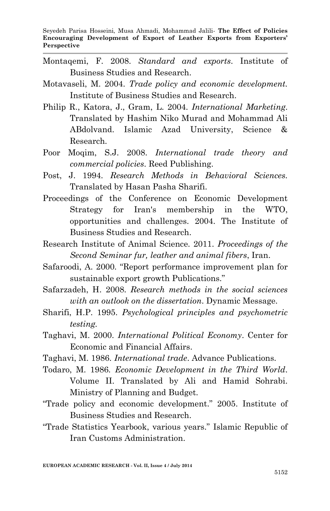- Montaqemi, F. 2008. *Standard and exports*. Institute of Business Studies and Research.
- Motavaseli, M. 2004. *Trade policy and economic development.* Institute of Business Studies and Research.
- Philip R., Katora, J., Gram, L. 2004. *International Marketing*. Translated by Hashim Niko Murad and Mohammad Ali ABdolvand. Islamic Azad University, Science & Research.
- Poor Moqim, S.J. 2008. *International trade theory and commercial policies*. Reed Publishing.
- Post, J. 1994. *Research Methods in Behavioral Sciences.* Translated by Hasan Pasha Sharifi.
- Proceedings of the Conference on Economic Development Strategy for Iran's membership in the WTO, opportunities and challenges. 2004. The Institute of Business Studies and Research.
- Research Institute of Animal Science. 2011. *Proceedings of the Second Seminar fur, leather and animal fibers*, Iran.
- Safaroodi, A. 2000. "Report performance improvement plan for sustainable export growth Publications."
- Safarzadeh, H. 2008. *Research methods in the social sciences with an outlook on the dissertation*. Dynamic Message.
- Sharifi, H.P. 1995. *Psychological principles and psychometric testing.*
- Taghavi, M. 2000. *International Political Economy*. Center for Economic and Financial Affairs.
- Taghavi, M. 1986. *International trade*. Advance Publications.
- Todaro, M. 1986. *Economic Development in the Third World*. Volume II. Translated by Ali and Hamid Sohrabi. Ministry of Planning and Budget.
- "Trade policy and economic development." 2005. Institute of Business Studies and Research.
- "Trade Statistics Yearbook, various years." Islamic Republic of Iran Customs Administration.